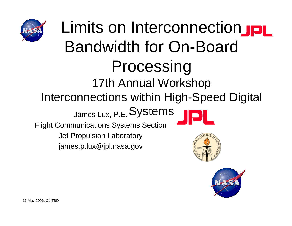

### Limits on Interconnection Bandwidth for On-Board Processing 17th Annual Workshop Interconnections within High-Speed Digital James Lux, P.E. Systems Flight Communications Systems Section Jet Propulsion Laboratory james.p.lux@jpl.nasa.gov

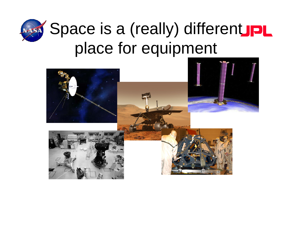

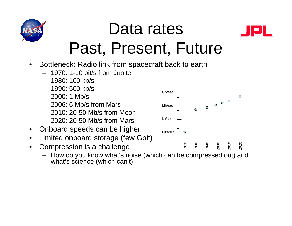

### Data rates Past, Present, Future



- $\bullet$  Bottleneck: Radio link from spacecraft back to earth
	- 1970: 1-10 bit/s from Jupiter
	- 1980: 100 kb/s
	- 1990: 500 kb/s
	- 2000: 1 Mb/s
	- 2006: 6 Mb/s from Mars
	- 2010: 20-50 Mb/s from Moon
	- 2020: 20-50 Mb/s from Mars
- $\bullet$ Onboard speeds can be higher
- $\bullet$ Limited onboard storage (few Gbit)
- $\bullet$  Compression is a challenge
	- How do you know what's noise (which can be compressed out) and what's science (which can't)

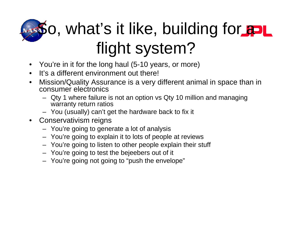# **So, what's it like, building for and** flight system?

- $\bullet$ You're in it for the long haul (5-10 years, or more)
- It's a different environment out there!
- $\bullet$  Mission/Quality Assurance is a very different animal in space than in consumer electronics
	- Qty 1 where failure is not an option vs Qty 10 million and managing warranty return ratios
	- You (usually) can't get the hardware back to fix it
- Conservativism reigns
	- You're going to generate a lot of analysis
	- You're going to explain it to lots of people at reviews
	- You're going to listen to other people explain their stuff
	- You're going to test the bejeebers out of it
	- You're going not going to "push the envelope"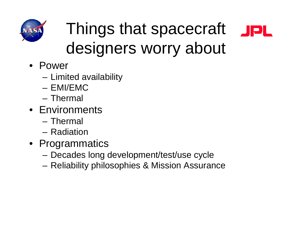

## Things that spacecraft designers worry about



- Power
	- –Limited availability
	- EMI/EMC
	- Thermal
- Environments
	- Thermal
	- Radiation
- Programmatics
	- –Decades long development/test/use cycle
	- Reliability philosophies & Mission Assurance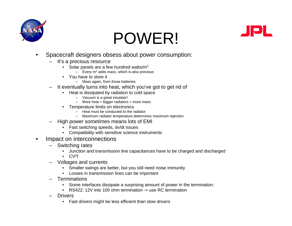

### POWER!



- • Spacecraft designers obsess about power consumption:
	- It's a precious resource
		- Solar panels are a few hundred watts/m<sup>2</sup>
			- $-$  Every m<sup>2</sup> adds mass, which is also precious
		- You have to store it
			- Mass again, from those batteries
	- It eventually turns into heat, which you've got to get rid of
		- Heat is dissipated by radiation to cold space
			- Vacuum is a great insulator!
			- More heat = bigger radiators = more mass
		- • Temperature limits on electronics
			- Heat must be conducted to the radiator
			- Maximum radiator temperature determines maximum rejection
	- High power sometimes means lots of EMI
		- •Fast switching speeds, dv/dt issues
		- Compatibility with sensitive science instruments
- • Impact on interconnections
	- Switching rates
		- •Junction and transmission line capacitances have to be charged and discharged
		- $\mathsf{CV}^2\mathsf{f}$
	- Voltages and currents
		- •Smaller swings are better, but you still need noise immunity
		- Losses in transmission lines can be important
	- **Terminations** 
		- •Some interfaces dissipate a surprising amount of power in the termination:
		- RS422: 12V into 100 ohm termination -> use RC termination
	- Drivers
		- Fast drivers might be less efficient than slow drivers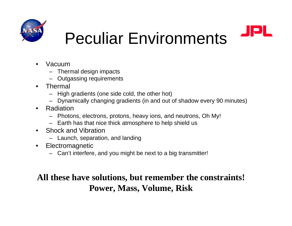



### Peculiar Environments

- • Vacuum
	- Thermal design impacts
	- Outgassing requirements
- • Thermal
	- High gradients (one side cold, the other hot)
	- Dynamically changing gradients (in and out of shadow every 90 minutes)
- • Radiation
	- Photons, electrons, protons, heavy ions, and neutrons, Oh My!
	- Earth has that nice thick atmosphere to help shield us
- • Shock and Vibration
	- Launch, separation, and landing
- $\bullet$  Electromagnetic
	- Can't interfere, and you might be next to a big transmitter!

#### **All these have solutions, but remember the constraints! Power, Mass, Volume, Risk**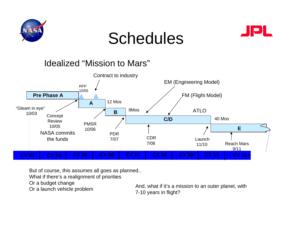

### Schedules



#### Idealized "Mission to Mars"



But of course, this assumes all goes as planned..

What if there's a realignment of priorities

Or a budget change

Or a badget change<br>Or a launch vehicle problem <br>7-10 years in flight?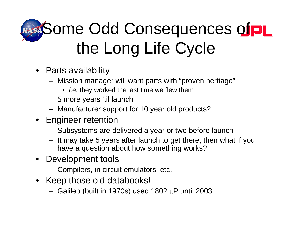# NASA Some Odd Consequences of PL the Long Life Cycle

- Parts availability
	- Mission manager will want parts with "proven heritage"
		- *i.e.* they worked the last time we flew them
	- 5 more years 'til launch
	- Manufacturer support for 10 year old products?
- Engineer retention
	- Subsystems are delivered a year or two before launch
	- It may take 5 years after launch to get there, then what if you have a question about how something works?
- Development tools
	- Compilers, in circuit emulators, etc.
- Keep those old databooks!
	- Galileo (built in 1970s) used 1802 μP until 2003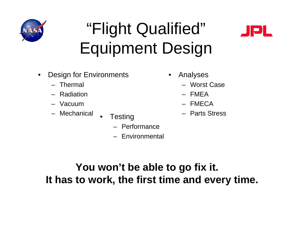

### "Flight Qualified" Equipment Design



- $\bullet$  Design for Environments
	- Thermal
	- Radiation
	- Vacuum
	- Mechanical
- Testing **Finally of Testing** 
	- Performance
	- Environmental
- $\bullet$  Analyses
	- Worst Case
	- FMEA
	- FMECA
	- Parts Stress

**You won't be able to go fix it. It has to work, the first time and every time.**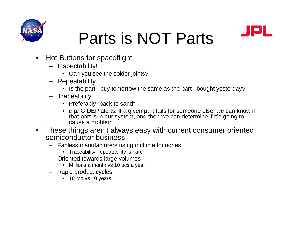

### Parts is NOT Parts



- • Hot Buttons for spaceflight
	- Inspectability!
		- Can you see the solder joints?
	- Repeatability
		- Is the part I buy tomorrow the same as the part I bought yesterday?
	- Traceability
		- Preferably "back to sand"
		- *e.g.* GIDEP alerts: If a given part fails for someone else, we can know if that part is in our system, and then we can determine if it's going to cause a problem
- $\bullet$  These things aren't always easy with current consumer oriented semiconductor business
	- – Fabless manufacturers using multiple foundries
		- Traceability, repeatability is hard
	- Oriented towards large volumes
		- Millions a month vs 10 pcs a year
	- Rapid product cycles
		- 18 mo vs 10 years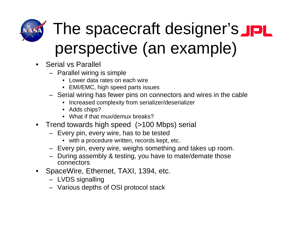

# The spacecraft designer's JPL perspective (an example)

- Serial vs Parallel
	- Parallel wiring is simple
		- Lower data rates on each wire
		- EMI/EMC, high speed parts issues
	- Serial wiring has fewer pins on connectors and wires in the cable
		- Increased complexity from serializer/deserializer
		- Adds chips?
		- What if that mux/demux breaks?
- Trend towards high speed (>100 Mbps) serial
	- Every pin, every wire, has to be tested
		- with a procedure written, records kept, etc.
	- Every pin, every wire, weighs something and takes up room.
	- During assembly & testing, you have to mate/demate those connectors
- SpaceWire, Ethernet, TAXI, 1394, etc.
	- LVDS signalling
	- Various depths of OSI protocol stack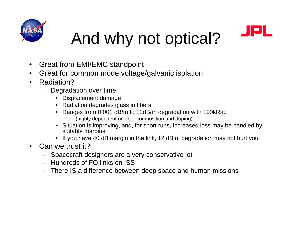



# And why not optical?

- $\bullet$ Great from EMI/EMC standpoint
- •Great for common mode voltage/galvanic isolation
- • Radiation?
	- Degradation over time
		- Displacement damage
		- Radiation degrades glass in fibers
		- Ranges from 0.001 dB/m to 12dB/m degradation with 100kRad
			- (highly dependent on fiber composition and doping)
		- Situation is improving, and, for short runs, increased loss may be handled by suitable margins
		- If you have 40 dB margin in the link, 12 dB of degradation may not hurt you.
- $\bullet$  Can we trust it?
	- Spacecraft designers are a very conservative lot
	- Hundreds of FO links on ISS
	- There IS a difference between deep space and human missions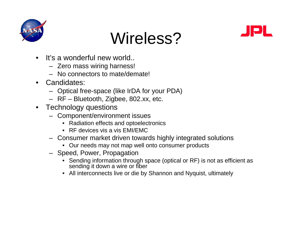





- • It's a wonderful new world..
	- Zero mass wiring harness!
	- No connectors to mate/demate!
- • Candidates:
	- Optical free-space (like IrDA for your PDA)
	- RF Bluetooth, Zigbee, 802.xx, etc.
- • Technology questions
	- Component/environment issues
		- Radiation effects and optoelectronics
		- RF devices vis a vis EMI/EMC
	- Consumer market driven towards highly integrated solutions
		- Our needs may not map well onto consumer products
	- Speed, Power, Propagation
		- • Sending information through space (optical or RF) is not as efficient as sending it down a wire or fiber
		- All interconnects live or die by Shannon and Nyquist, ultimately